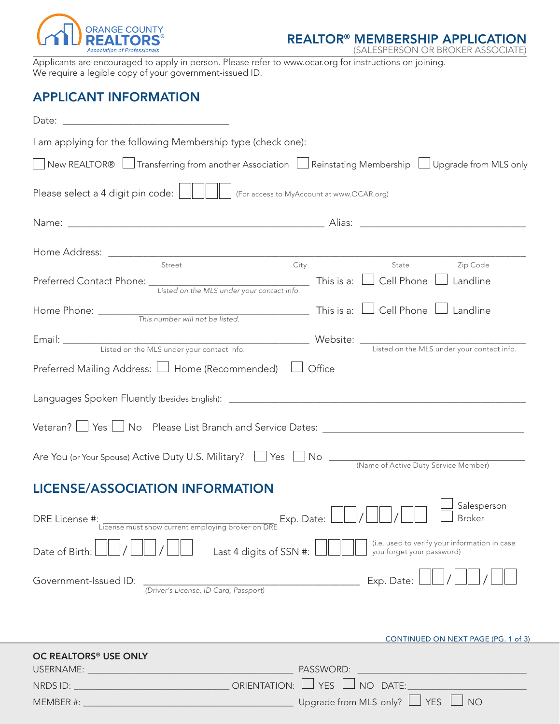

REALTOR® MEMBERSHIP APPLICATION

(SALESPERSON OR BROKER ASSOCIATE)

Applicants are encouraged to apply in person. Please refer to www.ocar.org for instructions on joining. We require a legible copy of your government-issued ID.

# APPLICANT INFORMATION

| I am applying for the following Membership type (check one):                                                                      |                                                                                                            |  |  |  |
|-----------------------------------------------------------------------------------------------------------------------------------|------------------------------------------------------------------------------------------------------------|--|--|--|
| $\Box$ New REALTOR® $\Box$ Transferring from another Association $\Box$ Reinstating Membership $\Box$ Upgrade from MLS only       |                                                                                                            |  |  |  |
|                                                                                                                                   |                                                                                                            |  |  |  |
|                                                                                                                                   |                                                                                                            |  |  |  |
|                                                                                                                                   |                                                                                                            |  |  |  |
| Street<br>Preferred Contact Phone: <i>Listed on the MLS under your contact info.</i> This is a: $\Box$ Cell Phone $\Box$ Landline | State <b>Example 2</b> Zip Code<br>City                                                                    |  |  |  |
|                                                                                                                                   |                                                                                                            |  |  |  |
| Email: Listed on the MLS under your contact info.<br>Listed on the MLS under your contact info.                                   |                                                                                                            |  |  |  |
| Preferred Mailing Address: $\Box$ Home (Recommended) $\Box$ Office                                                                |                                                                                                            |  |  |  |
|                                                                                                                                   |                                                                                                            |  |  |  |
| Veteran? U Yes U No Please List Branch and Service Dates: University Meteran? U Yes U No Please List Branch and Service Dates: U  |                                                                                                            |  |  |  |
| Are You (or Your Spouse) Active Duty U.S. Military? 78 Yes No Mo Active Duty Service Member)                                      |                                                                                                            |  |  |  |
| <b>LICENSE/ASSOCIATION INFORMATION</b>                                                                                            |                                                                                                            |  |  |  |
| DRE License #:<br>:<br>License must show current employing broker on DRE                                                          | Salesperson<br>$\frac{1}{\sqrt{DRF}}$ Exp. Date: $\boxed{\frac{1}{\sqrt{1}}}$<br>$\Box$ /<br>$\Box$ Broker |  |  |  |
| Last 4 digits of SSN #:<br>Date of Birth:                                                                                         | (i.e. used to verify your information in case<br>you forget your password)                                 |  |  |  |
| Government-Issued ID:<br>(Driver's License, ID Card, Passport)                                                                    | Exp. Date:                                                                                                 |  |  |  |
|                                                                                                                                   |                                                                                                            |  |  |  |
|                                                                                                                                   | CONTINUED ON NEXT PAGE (PG. 1 of 3)                                                                        |  |  |  |
| OC REALTORS <sup>®</sup> USE ONLY                                                                                                 |                                                                                                            |  |  |  |
| NRDS ID: $\sqrt{ }$ ORIENTATION: $\Box$                                                                                           | <b>YES</b><br>NO DATE:                                                                                     |  |  |  |
|                                                                                                                                   | Upgrade from MLS-only? $\Box$ YES $\Box$<br>$\Box$ NO                                                      |  |  |  |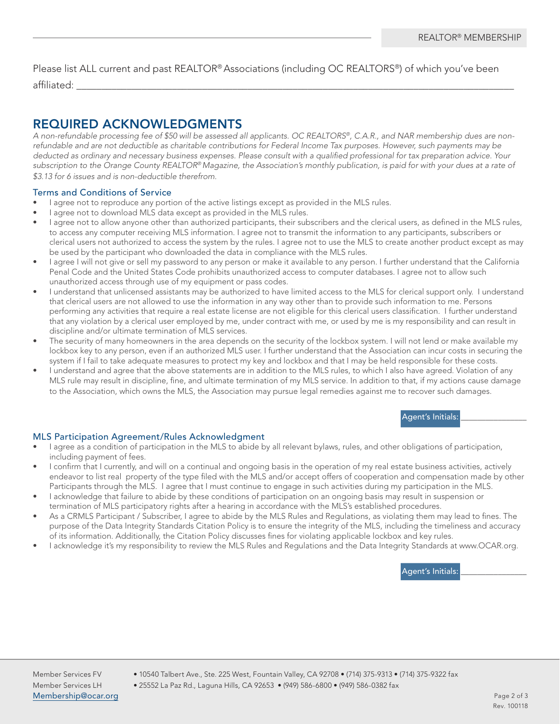Please list ALL current and past REALTOR® Associations (including OC REALTORS®) of which you've been affiliated: \_\_\_\_\_\_\_\_\_\_\_\_\_\_\_\_\_\_\_\_\_\_\_\_\_\_\_\_\_\_\_\_\_\_\_\_\_\_\_\_\_\_\_\_\_\_\_\_\_\_\_\_\_\_\_\_\_\_\_\_\_\_\_\_\_\_\_\_\_\_\_\_\_\_\_\_\_\_\_\_\_\_\_\_\_\_\_

# REQUIRED ACKNOWLEDGMENTS

*A non-refundable processing fee of \$50 will be assessed all applicants. OC REALTORS®, C.A.R., and NAR membership dues are nonrefundable and are not deductible as charitable contributions for Federal Income Tax purposes. However, such payments may be deducted as ordinary and necessary business expenses. Please consult with a qualified professional for tax preparation advice. Your subscription to the Orange County REALTOR® Magazine, the Association's monthly publication, is paid for with your dues at a rate of \$3.13 for 6 issues and is non-deductible therefrom.*

## Terms and Conditions of Service

- I agree not to reproduce any portion of the active listings except as provided in the MLS rules.
- I agree not to download MLS data except as provided in the MLS rules.
- I agree not to allow anyone other than authorized participants, their subscribers and the clerical users, as defined in the MLS rules, to access any computer receiving MLS information. I agree not to transmit the information to any participants, subscribers or clerical users not authorized to access the system by the rules. I agree not to use the MLS to create another product except as may be used by the participant who downloaded the data in compliance with the MLS rules.
- I agree I will not give or sell my password to any person or make it available to any person. I further understand that the California Penal Code and the United States Code prohibits unauthorized access to computer databases. I agree not to allow such unauthorized access through use of my equipment or pass codes.
- I understand that unlicensed assistants may be authorized to have limited access to the MLS for clerical support only. I understand that clerical users are not allowed to use the information in any way other than to provide such information to me. Persons performing any activities that require a real estate license are not eligible for this clerical users classification. I further understand that any violation by a clerical user employed by me, under contract with me, or used by me is my responsibility and can result in discipline and/or ultimate termination of MLS services.
- The security of many homeowners in the area depends on the security of the lockbox system. I will not lend or make available my lockbox key to any person, even if an authorized MLS user. I further understand that the Association can incur costs in securing the system if I fail to take adequate measures to protect my key and lockbox and that I may be held responsible for these costs.
- I understand and agree that the above statements are in addition to the MLS rules, to which I also have agreed. Violation of any MLS rule may result in discipline, fine, and ultimate termination of my MLS service. In addition to that, if my actions cause damage to the Association, which owns the MLS, the Association may pursue legal remedies against me to recover such damages.

### Agent's Initials:

## MLS Participation Agreement/Rules Acknowledgment

- I agree as a condition of participation in the MLS to abide by all relevant bylaws, rules, and other obligations of participation, including payment of fees.
- I confirm that I currently, and will on a continual and ongoing basis in the operation of my real estate business activities, actively endeavor to list real property of the type filed with the MLS and/or accept offers of cooperation and compensation made by other Participants through the MLS. I agree that I must continue to engage in such activities during my participation in the MLS.
- I acknowledge that failure to abide by these conditions of participation on an ongoing basis may result in suspension or termination of MLS participatory rights after a hearing in accordance with the MLS's established procedures.
- As a CRMLS Participant / Subscriber, I agree to abide by the MLS Rules and Regulations, as violating them may lead to fines. The purpose of the Data Integrity Standards Citation Policy is to ensure the integrity of the MLS, including the timeliness and accuracy of its information. Additionally, the Citation Policy discusses fines for violating applicable lockbox and key rules.
- I acknowledge it's my responsibility to review the MLS Rules and Regulations and the Data Integrity Standards at www.OCAR.org.

Agent's Initials:

Member Services LH • 25552 La Paz Rd., Laguna Hills, CA 92653 • (949) 586-6800 • (949) 586-0382 fax